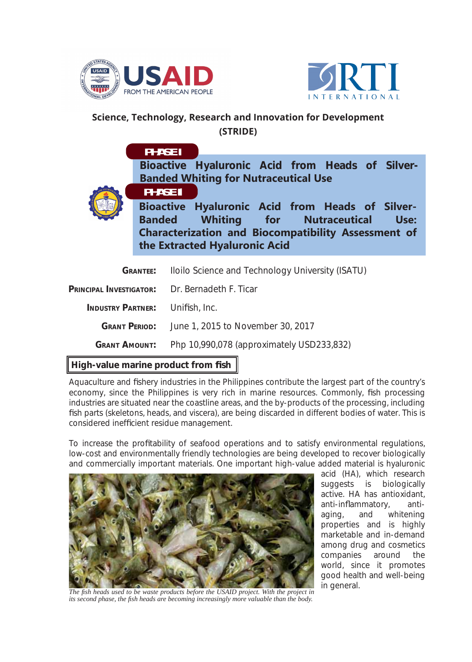



## **Science, Technology, Research and Innovation for Development (STRIDE)**

**Bioactive Hyaluronic Acid from Heads of Silver-Banded Whiting for Nutraceutical Use PHASE I**



**PHASE II**

**Bioactive Hyaluronic Acid from Heads of Silver-Banded Whiting for Nutraceutical Use: Characterization and Biocompatibility Assessment of the Extracted Hyaluronic Acid**

| . .                                                   | .                                                                |
|-------------------------------------------------------|------------------------------------------------------------------|
| <b>GRANT AMOUNT:</b>                                  | Php 10,990,078 (approximately USD233,832)                        |
|                                                       | <b>GRANT PERIOD:</b> June 1, 2015 to November 30, 2017           |
| <b>INDUSTRY PARTNER:</b> Unifish, Inc.                |                                                                  |
| <b>PRINCIPAL INVESTIGATOR:</b> Dr. Bernadeth F. Ticar |                                                                  |
|                                                       | <b>GRANTEE:</b> Iloilo Science and Technology University (ISATU) |

## **High-value marine product from fish**

Aquaculture and fishery industries in the Philippines contribute the largest part of the country's economy, since the Philippines is very rich in marine resources. Commonly, fish processing industries are situated near the coastline areas, and the by-products of the processing, including fish parts (skeletons, heads, and viscera), are being discarded in different bodies of water. This is considered inefficient residue management.

To increase the profitability of seafood operations and to satisfy environmental regulations, low-cost and environmentally friendly technologies are being developed to recover biologically and commercially important materials. One important high-value added material is hyaluronic



acid (HA), which research suggests is biologically active. HA has antioxidant, anti-inflammatory, antiaging, and whitening properties and is highly marketable and in-demand among drug and cosmetics companies around the world, since it promotes good health and well-being in general.

*The fi sh heads used to be waste products before the USAID project. With the project in its second phase, the fi sh heads are becoming increasingly more valuable than the body.*